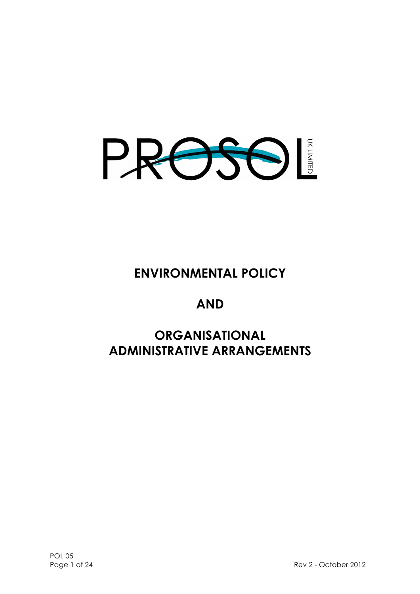

# **ENVIRONMENTAL POLICY**

# **AND**

# **ORGANISATIONAL ADMINISTRATIVE ARRANGEMENTS**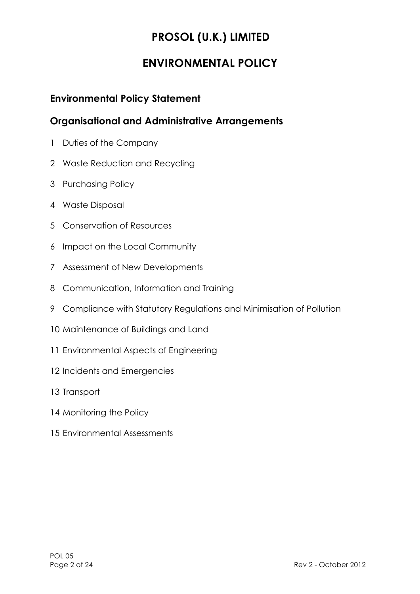# **PROSOL (U.K.) LIMITED**

# **ENVIRONMENTAL POLICY**

### **Environmental Policy Statement**

### **Organisational and Administrative Arrangements**

- Duties of the Company
- Waste Reduction and Recycling
- Purchasing Policy
- Waste Disposal
- Conservation of Resources
- Impact on the Local Community
- Assessment of New Developments
- Communication, Information and Training
- Compliance with Statutory Regulations and Minimisation of Pollution
- Maintenance of Buildings and Land
- Environmental Aspects of Engineering
- Incidents and Emergencies
- Transport
- 14 Monitoring the Policy
- Environmental Assessments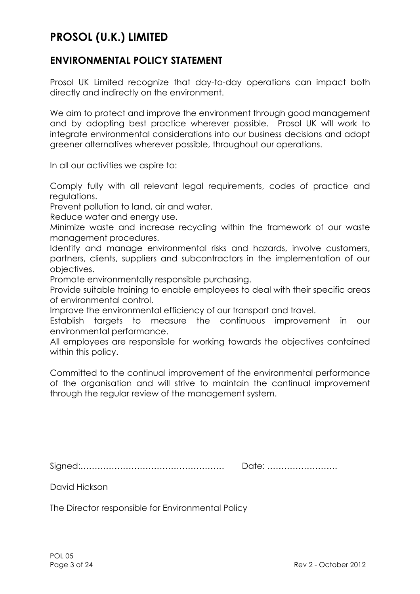# **PROSOL (U.K.) LIMITED**

### **ENVIRONMENTAL POLICY STATEMENT**

Prosol UK Limited recognize that day-to-day operations can impact both directly and indirectly on the environment.

We aim to protect and improve the environment through good management and by adopting best practice wherever possible. Prosol UK will work to integrate environmental considerations into our business decisions and adopt greener alternatives wherever possible, throughout our operations.

In all our activities we aspire to:

Comply fully with all relevant legal requirements, codes of practice and regulations.

Prevent pollution to land, air and water.

Reduce water and energy use.

Minimize waste and increase recycling within the framework of our waste management procedures.

Identify and manage environmental risks and hazards, involve customers, partners, clients, suppliers and subcontractors in the implementation of our objectives.

Promote environmentally responsible purchasing.

Provide suitable training to enable employees to deal with their specific areas of environmental control.

Improve the environmental efficiency of our transport and travel.

Establish targets to measure the continuous improvement in our environmental performance.

All employees are responsible for working towards the objectives contained within this policy.

Committed to the continual improvement of the environmental performance of the organisation and will strive to maintain the continual improvement through the regular review of the management system.

Signed:…………………………………………… Date: …………………….

David Hickson

The Director responsible for Environmental Policy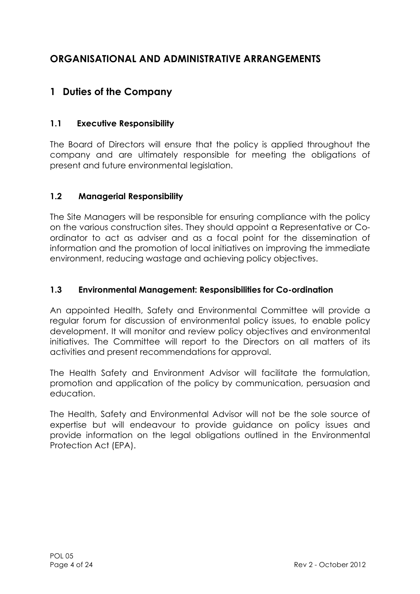# **ORGANISATIONAL AND ADMINISTRATIVE ARRANGEMENTS**

# **1 Duties of the Company**

### **1.1 Executive Responsibility**

The Board of Directors will ensure that the policy is applied throughout the company and are ultimately responsible for meeting the obligations of present and future environmental legislation.

### **1.2 Managerial Responsibility**

The Site Managers will be responsible for ensuring compliance with the policy on the various construction sites. They should appoint a Representative or Coordinator to act as adviser and as a focal point for the dissemination of information and the promotion of local initiatives on improving the immediate environment, reducing wastage and achieving policy objectives.

### **1.3 Environmental Management: Responsibilities for Co-ordination**

An appointed Health, Safety and Environmental Committee will provide a regular forum for discussion of environmental policy issues, to enable policy development. It will monitor and review policy objectives and environmental initiatives. The Committee will report to the Directors on all matters of its activities and present recommendations for approval.

The Health Safety and Environment Advisor will facilitate the formulation, promotion and application of the policy by communication, persuasion and education.

The Health, Safety and Environmental Advisor will not be the sole source of expertise but will endeavour to provide guidance on policy issues and provide information on the legal obligations outlined in the Environmental Protection Act (EPA).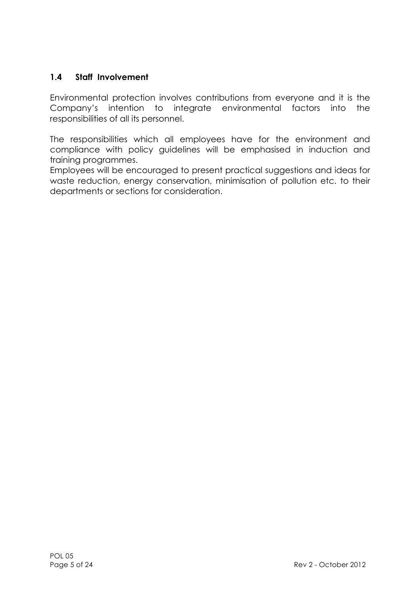### **1.4 Staff Involvement**

Environmental protection involves contributions from everyone and it is the Company's intention to integrate environmental factors into the responsibilities of all its personnel.

The responsibilities which all employees have for the environment and compliance with policy guidelines will be emphasised in induction and training programmes.

Employees will be encouraged to present practical suggestions and ideas for waste reduction, energy conservation, minimisation of pollution etc. to their departments or sections for consideration.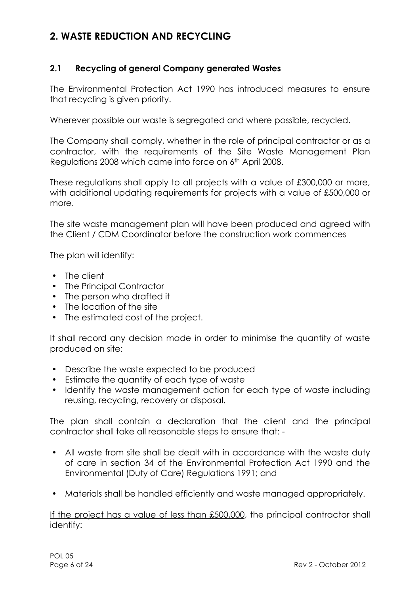### **2. WASTE REDUCTION AND RECYCLING**

### **2.1 Recycling of general Company generated Wastes**

The Environmental Protection Act 1990 has introduced measures to ensure that recycling is given priority.

Wherever possible our waste is segregated and where possible, recycled.

The Company shall comply, whether in the role of principal contractor or as a contractor, with the requirements of the Site Waste Management Plan Regulations 2008 which came into force on 6th April 2008.

These regulations shall apply to all projects with a value of £300,000 or more, with additional updating requirements for projects with a value of £500,000 or more.

The site waste management plan will have been produced and agreed with the Client / CDM Coordinator before the construction work commences

The plan will identify:

- The client
- The Principal Contractor
- The person who drafted it
- The location of the site
- The estimated cost of the project.

It shall record any decision made in order to minimise the quantity of waste produced on site:

- Describe the waste expected to be produced
- Estimate the quantity of each type of waste
- Identify the waste management action for each type of waste including reusing, recycling, recovery or disposal.

The plan shall contain a declaration that the client and the principal contractor shall take all reasonable steps to ensure that: -

- All waste from site shall be dealt with in accordance with the waste duty of care in section 34 of the Environmental Protection Act 1990 and the Environmental (Duty of Care) Regulations 1991; and
- Materials shall be handled efficiently and waste managed appropriately.

If the project has a value of less than £500,000, the principal contractor shall identify: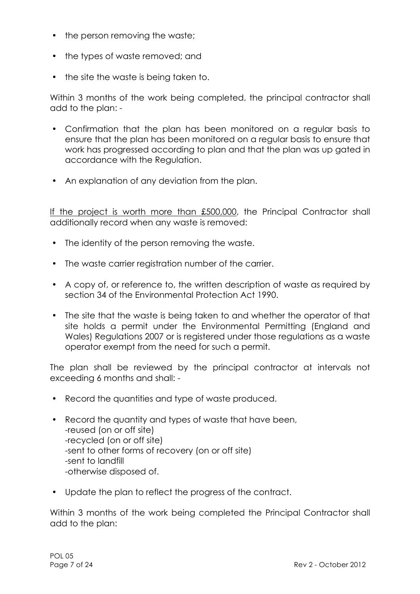- the person removing the waste;
- the types of waste removed; and
- the site the waste is being taken to.

Within 3 months of the work being completed, the principal contractor shall add to the plan: -

- Confirmation that the plan has been monitored on a regular basis to ensure that the plan has been monitored on a regular basis to ensure that work has progressed according to plan and that the plan was up gated in accordance with the Regulation.
- An explanation of any deviation from the plan.

If the project is worth more than £500,000, the Principal Contractor shall additionally record when any waste is removed:

- The identity of the person removing the waste.
- The waste carrier registration number of the carrier.
- A copy of, or reference to, the written description of waste as required by section 34 of the Environmental Protection Act 1990.
- The site that the waste is being taken to and whether the operator of that site holds a permit under the Environmental Permitting (England and Wales) Regulations 2007 or is registered under those regulations as a waste operator exempt from the need for such a permit.

The plan shall be reviewed by the principal contractor at intervals not exceeding 6 months and shall: -

- Record the quantities and type of waste produced.
- Record the quantity and types of waste that have been, -reused (on or off site) -recycled (on or off site) -sent to other forms of recovery (on or off site) -sent to landfill -otherwise disposed of.
- Update the plan to reflect the progress of the contract.

Within 3 months of the work being completed the Principal Contractor shall add to the plan: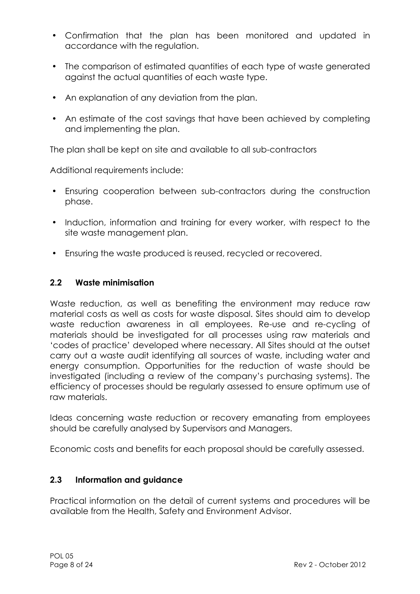- Confirmation that the plan has been monitored and updated in accordance with the regulation.
- The comparison of estimated quantities of each type of waste generated against the actual quantities of each waste type.
- An explanation of any deviation from the plan.
- An estimate of the cost savings that have been achieved by completing and implementing the plan.

The plan shall be kept on site and available to all sub-contractors

Additional requirements include:

- Ensuring cooperation between sub-contractors during the construction phase.
- Induction, information and training for every worker, with respect to the site waste management plan.
- Ensuring the waste produced is reused, recycled or recovered.

### **2.2 Waste minimisation**

Waste reduction, as well as benefiting the environment may reduce raw material costs as well as costs for waste disposal. Sites should aim to develop waste reduction awareness in all employees. Re-use and re-cycling of materials should be investigated for all processes using raw materials and 'codes of practice' developed where necessary. All Sites should at the outset carry out a waste audit identifying all sources of waste, including water and energy consumption. Opportunities for the reduction of waste should be investigated (including a review of the company's purchasing systems). The efficiency of processes should be regularly assessed to ensure optimum use of raw materials.

Ideas concerning waste reduction or recovery emanating from employees should be carefully analysed by Supervisors and Managers.

Economic costs and benefits for each proposal should be carefully assessed.

### **2.3 Information and guidance**

Practical information on the detail of current systems and procedures will be available from the Health, Safety and Environment Advisor.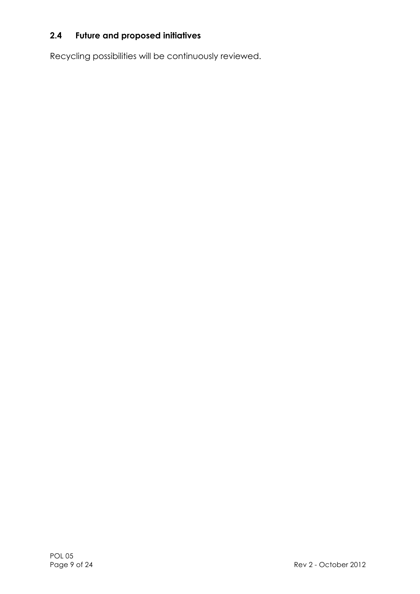### **2.4 Future and proposed initiatives**

Recycling possibilities will be continuously reviewed.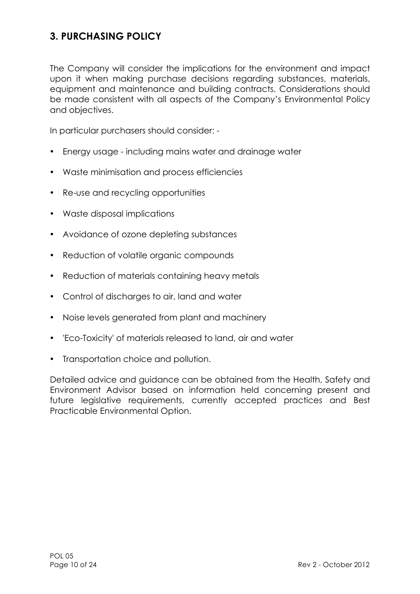# **3. PURCHASING POLICY**

The Company will consider the implications for the environment and impact upon it when making purchase decisions regarding substances, materials, equipment and maintenance and building contracts. Considerations should be made consistent with all aspects of the Company's Environmental Policy and objectives.

In particular purchasers should consider: -

- Energy usage including mains water and drainage water
- Waste minimisation and process efficiencies
- Re-use and recycling opportunities
- Waste disposal implications
- Avoidance of ozone depleting substances
- Reduction of volatile organic compounds
- Reduction of materials containing heavy metals
- Control of discharges to air, land and water
- Noise levels generated from plant and machinery
- 'Eco-Toxicity' of materials released to land, air and water
- Transportation choice and pollution.

Detailed advice and guidance can be obtained from the Health, Safety and Environment Advisor based on information held concerning present and future legislative requirements, currently accepted practices and Best Practicable Environmental Option.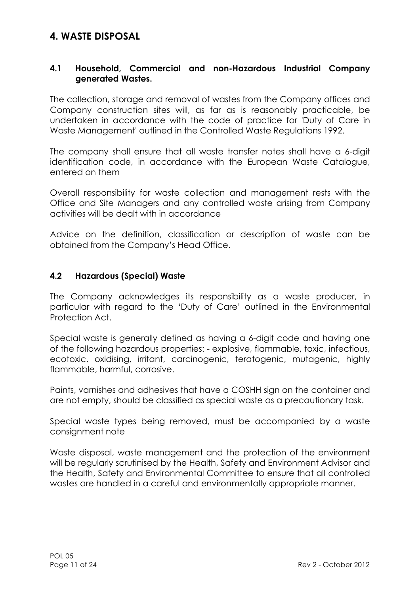### **4. WASTE DISPOSAL**

### **4.1 Household, Commercial and non-Hazardous Industrial Company generated Wastes.**

The collection, storage and removal of wastes from the Company offices and Company construction sites will, as far as is reasonably practicable, be undertaken in accordance with the code of practice for 'Duty of Care in Waste Management' outlined in the Controlled Waste Regulations 1992.

The company shall ensure that all waste transfer notes shall have a 6-digit identification code, in accordance with the European Waste Catalogue, entered on them

Overall responsibility for waste collection and management rests with the Office and Site Managers and any controlled waste arising from Company activities will be dealt with in accordance

Advice on the definition, classification or description of waste can be obtained from the Company's Head Office.

### **4.2 Hazardous (Special) Waste**

The Company acknowledges its responsibility as a waste producer, in particular with regard to the 'Duty of Care' outlined in the Environmental Protection Act.

Special waste is generally defined as having a 6-digit code and having one of the following hazardous properties: - explosive, flammable, toxic, infectious, ecotoxic, oxidising, irritant, carcinogenic, teratogenic, mutagenic, highly flammable, harmful, corrosive.

Paints, varnishes and adhesives that have a COSHH sign on the container and are not empty, should be classified as special waste as a precautionary task.

Special waste types being removed, must be accompanied by a waste consignment note

Waste disposal, waste management and the protection of the environment will be regularly scrutinised by the Health, Safety and Environment Advisor and the Health, Safety and Environmental Committee to ensure that all controlled wastes are handled in a careful and environmentally appropriate manner.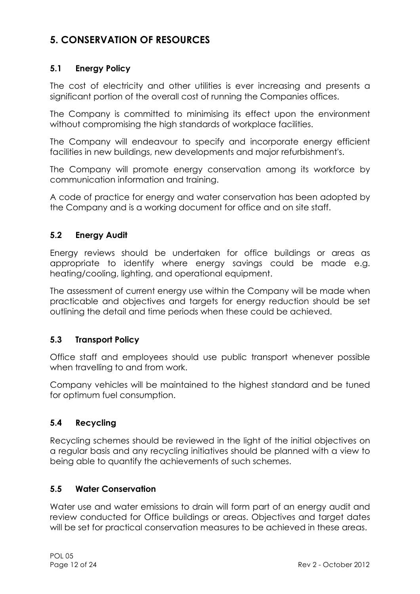# **5. CONSERVATION OF RESOURCES**

### **5.1 Energy Policy**

The cost of electricity and other utilities is ever increasing and presents a significant portion of the overall cost of running the Companies offices.

The Company is committed to minimising its effect upon the environment without compromising the high standards of workplace facilities.

The Company will endeavour to specify and incorporate energy efficient facilities in new buildings, new developments and major refurbishment's.

The Company will promote energy conservation among its workforce by communication information and training.

A code of practice for energy and water conservation has been adopted by the Company and is a working document for office and on site staff.

### **5.2 Energy Audit**

Energy reviews should be undertaken for office buildings or areas as appropriate to identify where energy savings could be made e.g. heating/cooling, lighting, and operational equipment.

The assessment of current energy use within the Company will be made when practicable and objectives and targets for energy reduction should be set outlining the detail and time periods when these could be achieved.

### **5.3 Transport Policy**

Office staff and employees should use public transport whenever possible when travelling to and from work.

Company vehicles will be maintained to the highest standard and be tuned for optimum fuel consumption.

### **5.4 Recycling**

Recycling schemes should be reviewed in the light of the initial objectives on a regular basis and any recycling initiatives should be planned with a view to being able to quantify the achievements of such schemes.

### **5.5 Water Conservation**

Water use and water emissions to drain will form part of an energy audit and review conducted for Office buildings or areas. Objectives and target dates will be set for practical conservation measures to be achieved in these areas.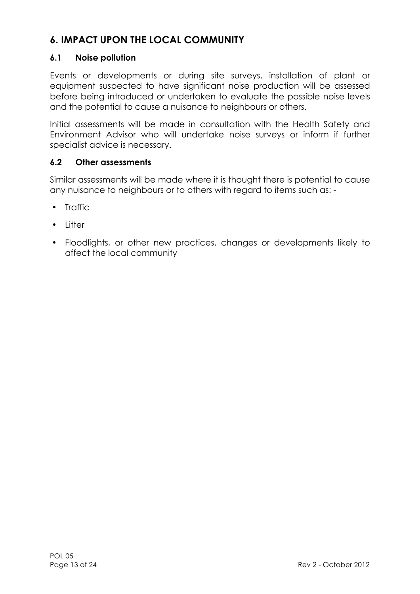# **6. IMPACT UPON THE LOCAL COMMUNITY**

### **6.1 Noise pollution**

Events or developments or during site surveys, installation of plant or equipment suspected to have significant noise production will be assessed before being introduced or undertaken to evaluate the possible noise levels and the potential to cause a nuisance to neighbours or others.

Initial assessments will be made in consultation with the Health Safety and Environment Advisor who will undertake noise surveys or inform if further specialist advice is necessary.

### **6.2 Other assessments**

Similar assessments will be made where it is thought there is potential to cause any nuisance to neighbours or to others with regard to items such as: -

- Traffic
- Litter
- Floodlights, or other new practices, changes or developments likely to affect the local community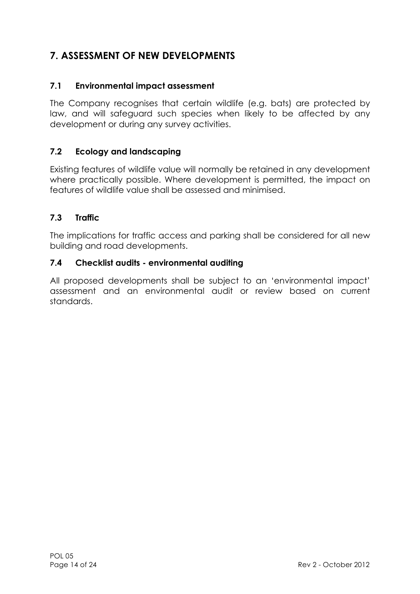# **7. ASSESSMENT OF NEW DEVELOPMENTS**

### **7.1 Environmental impact assessment**

The Company recognises that certain wildlife (e.g. bats) are protected by law, and will safeguard such species when likely to be affected by any development or during any survey activities.

### **7.2 Ecology and landscaping**

Existing features of wildlife value will normally be retained in any development where practically possible. Where development is permitted, the impact on features of wildlife value shall be assessed and minimised.

### **7.3 Traffic**

The implications for traffic access and parking shall be considered for all new building and road developments.

### **7.4 Checklist audits - environmental auditing**

All proposed developments shall be subject to an 'environmental impact' assessment and an environmental audit or review based on current standards.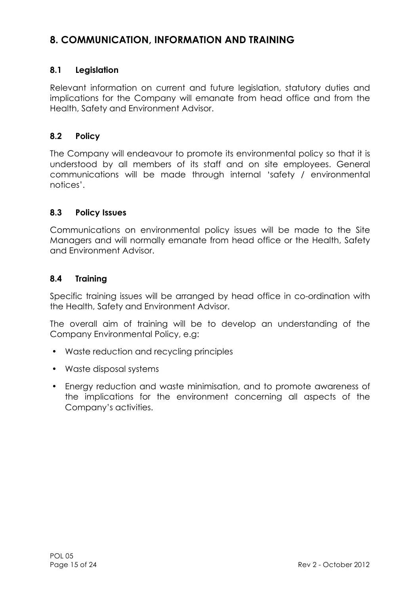# **8. COMMUNICATION, INFORMATION AND TRAINING**

### **8.1 Legislation**

Relevant information on current and future legislation, statutory duties and implications for the Company will emanate from head office and from the Health, Safety and Environment Advisor.

### **8.2 Policy**

The Company will endeavour to promote its environmental policy so that it is understood by all members of its staff and on site employees. General communications will be made through internal 'safety / environmental notices'.

### **8.3 Policy Issues**

Communications on environmental policy issues will be made to the Site Managers and will normally emanate from head office or the Health, Safety and Environment Advisor.

### **8.4 Training**

Specific training issues will be arranged by head office in co-ordination with the Health, Safety and Environment Advisor.

The overall aim of training will be to develop an understanding of the Company Environmental Policy, e.g:

- Waste reduction and recycling principles
- Waste disposal systems
- Energy reduction and waste minimisation, and to promote awareness of the implications for the environment concerning all aspects of the Company's activities.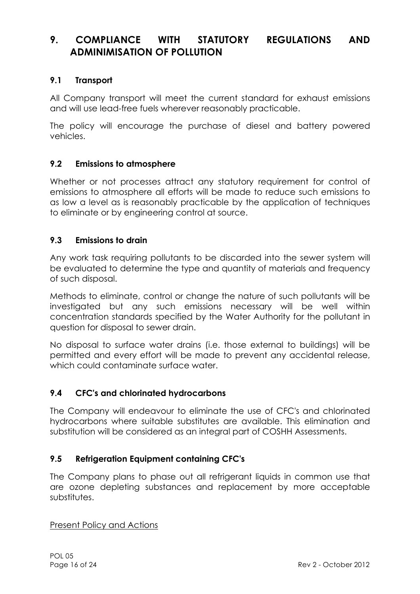### **9. COMPLIANCE WITH STATUTORY REGULATIONS AND ADMINIMISATION OF POLLUTION**

### **9.1 Transport**

All Company transport will meet the current standard for exhaust emissions and will use lead-free fuels wherever reasonably practicable.

The policy will encourage the purchase of diesel and battery powered vehicles.

### **9.2 Emissions to atmosphere**

Whether or not processes attract any statutory requirement for control of emissions to atmosphere all efforts will be made to reduce such emissions to as low a level as is reasonably practicable by the application of techniques to eliminate or by engineering control at source.

### **9.3 Emissions to drain**

Any work task requiring pollutants to be discarded into the sewer system will be evaluated to determine the type and quantity of materials and frequency of such disposal.

Methods to eliminate, control or change the nature of such pollutants will be investigated but any such emissions necessary will be well within concentration standards specified by the Water Authority for the pollutant in question for disposal to sewer drain.

No disposal to surface water drains (i.e. those external to buildings) will be permitted and every effort will be made to prevent any accidental release, which could contaminate surface water.

### **9.4 CFC's and chlorinated hydrocarbons**

The Company will endeavour to eliminate the use of CFC's and chlorinated hydrocarbons where suitable substitutes are available. This elimination and substitution will be considered as an integral part of COSHH Assessments.

### **9.5 Refrigeration Equipment containing CFC's**

The Company plans to phase out all refrigerant liquids in common use that are ozone depleting substances and replacement by more acceptable substitutes.

Present Policy and Actions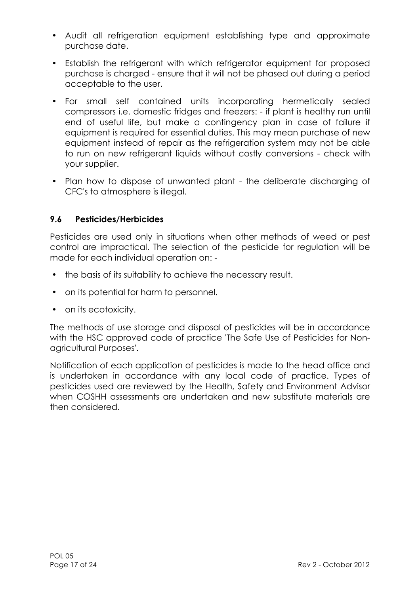- Audit all refrigeration equipment establishing type and approximate purchase date.
- Establish the refrigerant with which refrigerator equipment for proposed purchase is charged - ensure that it will not be phased out during a period acceptable to the user.
- For small self contained units incorporating hermetically sealed compressors i.e. domestic fridges and freezers: - if plant is healthy run until end of useful life, but make a contingency plan in case of failure if equipment is required for essential duties. This may mean purchase of new equipment instead of repair as the refrigeration system may not be able to run on new refrigerant liquids without costly conversions - check with your supplier.
- Plan how to dispose of unwanted plant the deliberate discharging of CFC's to atmosphere is illegal.

### **9.6 Pesticides/Herbicides**

Pesticides are used only in situations when other methods of weed or pest control are impractical. The selection of the pesticide for regulation will be made for each individual operation on: -

- the basis of its suitability to achieve the necessary result.
- on its potential for harm to personnel.
- on its ecotoxicity.

The methods of use storage and disposal of pesticides will be in accordance with the HSC approved code of practice 'The Safe Use of Pesticides for Nonagricultural Purposes'.

Notification of each application of pesticides is made to the head office and is undertaken in accordance with any local code of practice. Types of pesticides used are reviewed by the Health, Safety and Environment Advisor when COSHH assessments are undertaken and new substitute materials are then considered.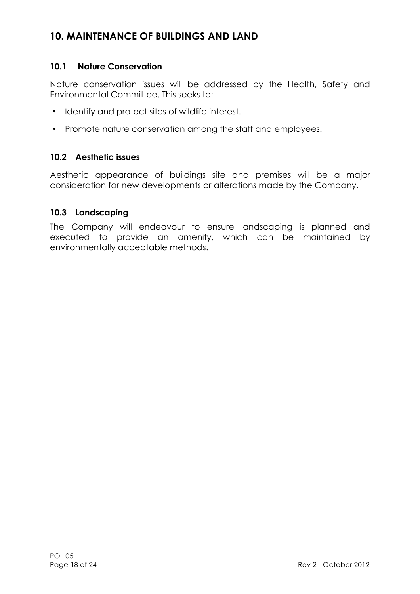### **10. MAINTENANCE OF BUILDINGS AND LAND**

### **10.1 Nature Conservation**

Nature conservation issues will be addressed by the Health, Safety and Environmental Committee. This seeks to: -

- Identify and protect sites of wildlife interest.
- Promote nature conservation among the staff and employees.

#### **10.2 Aesthetic issues**

Aesthetic appearance of buildings site and premises will be a major consideration for new developments or alterations made by the Company.

#### **10.3 Landscaping**

The Company will endeavour to ensure landscaping is planned and executed to provide an amenity, which can be maintained by environmentally acceptable methods.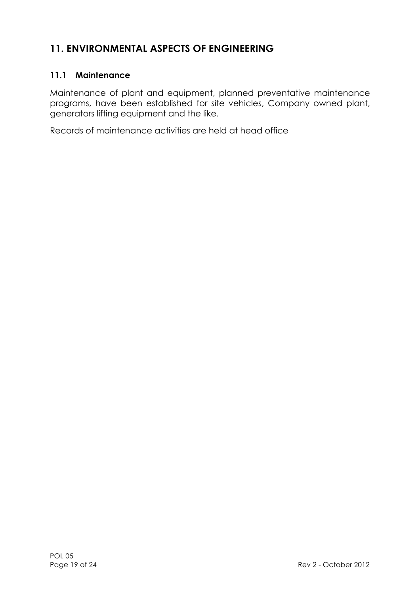# **11. ENVIRONMENTAL ASPECTS OF ENGINEERING**

### **11.1 Maintenance**

Maintenance of plant and equipment, planned preventative maintenance programs, have been established for site vehicles, Company owned plant, generators lifting equipment and the like.

Records of maintenance activities are held at head office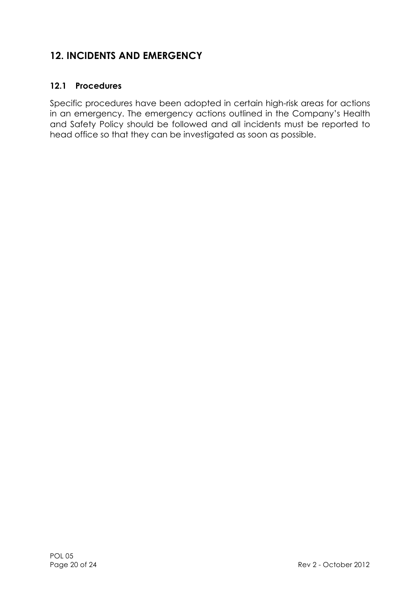# **12. INCIDENTS AND EMERGENCY**

### **12.1 Procedures**

Specific procedures have been adopted in certain high-risk areas for actions in an emergency. The emergency actions outlined in the Company's Health and Safety Policy should be followed and all incidents must be reported to head office so that they can be investigated as soon as possible.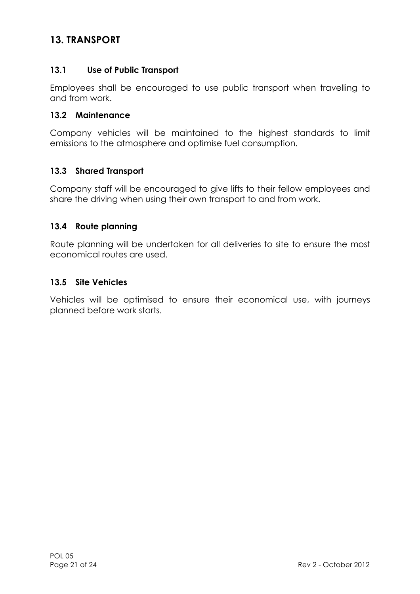### **13. TRANSPORT**

### **13.1 Use of Public Transport**

Employees shall be encouraged to use public transport when travelling to and from work.

#### **13.2 Maintenance**

Company vehicles will be maintained to the highest standards to limit emissions to the atmosphere and optimise fuel consumption.

### **13.3 Shared Transport**

Company staff will be encouraged to give lifts to their fellow employees and share the driving when using their own transport to and from work.

### **13.4 Route planning**

Route planning will be undertaken for all deliveries to site to ensure the most economical routes are used.

### **13.5 Site Vehicles**

Vehicles will be optimised to ensure their economical use, with journeys planned before work starts.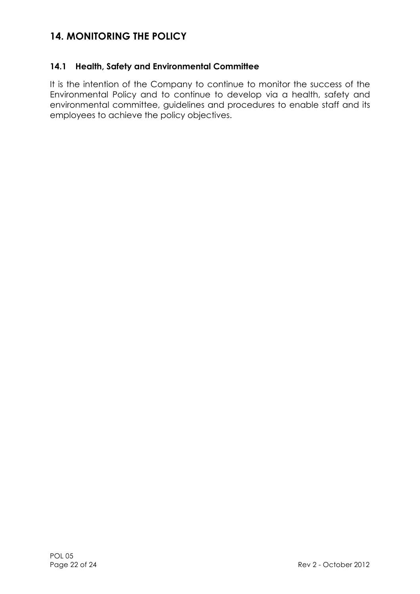### **14. MONITORING THE POLICY**

### **14.1 Health, Safety and Environmental Committee**

It is the intention of the Company to continue to monitor the success of the Environmental Policy and to continue to develop via a health, safety and environmental committee, guidelines and procedures to enable staff and its employees to achieve the policy objectives.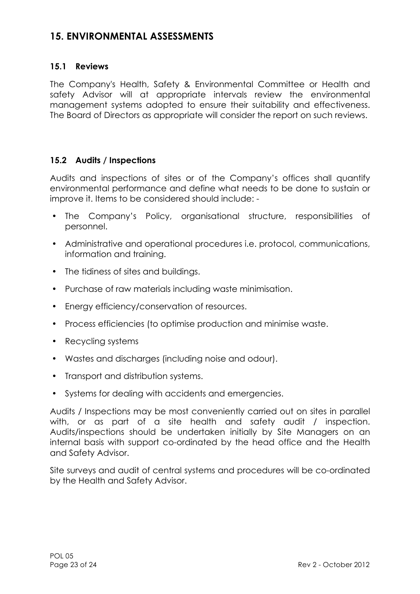### **15. ENVIRONMENTAL ASSESSMENTS**

### **15.1 Reviews**

The Company's Health, Safety & Environmental Committee or Health and safety Advisor will at appropriate intervals review the environmental management systems adopted to ensure their suitability and effectiveness. The Board of Directors as appropriate will consider the report on such reviews.

### **15.2 Audits / Inspections**

Audits and inspections of sites or of the Company's offices shall quantify environmental performance and define what needs to be done to sustain or improve it. Items to be considered should include: -

- The Company's Policy, organisational structure, responsibilities of personnel.
- Administrative and operational procedures i.e. protocol, communications, information and training.
- The tidiness of sites and buildings.
- Purchase of raw materials including waste minimisation.
- Energy efficiency/conservation of resources.
- Process efficiencies (to optimise production and minimise waste.
- Recycling systems
- Wastes and discharges (including noise and odour).
- Transport and distribution systems.
- Systems for dealing with accidents and emergencies.

Audits / Inspections may be most conveniently carried out on sites in parallel with, or as part of a site health and safety audit / inspection. Audits/inspections should be undertaken initially by Site Managers on an internal basis with support co-ordinated by the head office and the Health and Safety Advisor.

Site surveys and audit of central systems and procedures will be co-ordinated by the Health and Safety Advisor.